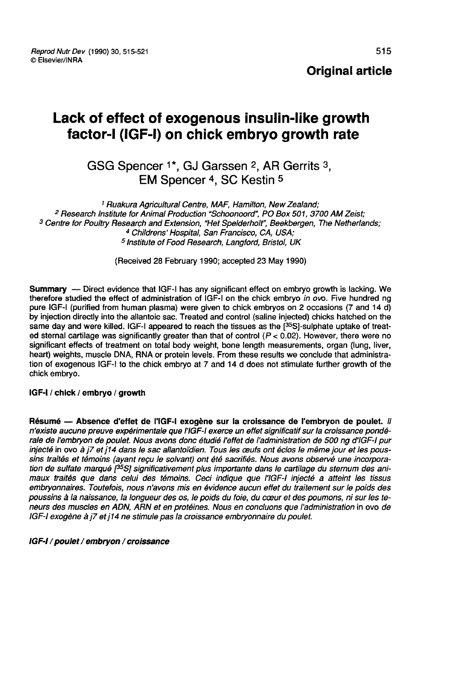Reprod Nutr Dev (1990) 30, 515-521 © Elsevier/INRA

# Lack of effect of exogenous insulin-like growth factor-I (IGF-I) on chick embryo growth rate **of effect of exogenous insulin-like g<br>tor-I (IGF-I) on chick embryo growth**<br>GSG Spencer <sup>1\*</sup>, GJ Garssen <sup>2</sup>, AR Gerrits <sup>3</sup>,<br>EM Spencer <sup>4</sup>, SC Kestin <sup>5</sup>

## GSG Spencer <sup>1\*</sup>, GJ Garssen <sup>2</sup>, AR Gerrits <sup>3</sup>,<br>EM Spencer <sup>4</sup>, SC Kestin <sup>5</sup>

1 Ruakura Agricultural Centre, MAF, Hamilton, New Zealand;<br><sup>2</sup> Research Institute for Animal Production "Schoonoord", PO Box 501, 3700 AM Zeist; <sup>3</sup> Centre for Poultry Research and Extension, "Het Spelderholt", Beekbergen, The Netherlands;<br><sup>4</sup> Childrens' Hospital, San Francisco, CA, USA;<br><sup>5</sup> Institute of Food Research, Langford, Bristol, UK

(Received 28 February 1990; accepted 23 May 1990)

Summary – Direct evidence that IGF-I has any significant effect on embryo growth is lacking. We therefore studied the effect of administration of IGF-I on the chick embryo in ovo. Five hundred ng pure IGF-I (purified from human plasma) were given to chick embryos on 2 occasions (7 and 14 d) by injection directly into the allantoic sac. Treated and control (saline injected) chicks hatched on the same day and were killed. IGF-I appeared to reach the tissues as the  $1^{35}$ SI-sulphate uptake of treat-**Summary** — Direct evidence that IGF-I has any significant effect on embryo growth is lacking. We<br>therefore studied the effect of administration of IGF-I on the chick embryo *in ov*o. Five hundred ng<br>pure IGF-I (purified ed sternal cartilage was significantly greater than that of control  $(P < 0.02)$ . However, there were no significant effects of treatment on total body weight, bone length measurements, organ (lung, liver, heart) weights, muscle DNA, RNA or protein levels. From these results we conclude that administration of exogenous IGF-I to the chick embryo at 7 and 14 d does not stimulate further growth of the chick embryo.

#### IGF-I / chick / embryo / growth

Résumé ― Absence d'effet de l'IGF-1 exogène sur la croissance de l'embryon de poulet. Il n'existe aucune preuve expérimentale que l'IGF-1 exerce un effet significatif sur la croissance pondérale de l'embryon de poulet. Nous avons donc étudié l'effet de l'administration de 500 ng d'IGF-I pur injecté in ovo à j7 et j14 dans le sac allantoïdien. Tous les ceufs ont éclos le même jour et les poussins traités et témoins (ayant reçu le solvant) ont été sacrifiés. Nous avons observé une incorporation de sulfate marqué  $1^{35}S$ ] significativement plus importante dans le cartilage du sternum des animaux traités que dans celui des témoins. Ceci indique que l'IGF-I injecté a atteint les tissus embryonnaires. Toutefois, nous n'avons mis en évidence aucun effet du traitement sur le poids des poussins à la naissance, la longueur des os, le poids du foie, du coeur et des poumons, ni sur les teneurs des muscles en ADN, ARN et en protéines. Nous en concluons que l'administration in ovo de IGF-I exogène à j7 et j14 ne stimule pas la croissance embryonnaire du poulet.

#### IGF-I / poulet / embryon / croissance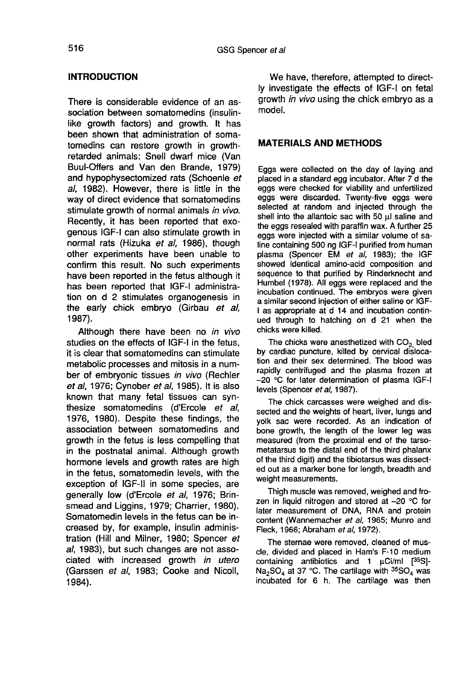## INTRODUCTION

There is considerable evidence of an association between somatomedins (insulinlike growth factors) and growth. It has been shown that administration of somatomedins can restore growth in growthretarded animals: Snell dwarf mice (Van Buul-Offers and Van den Brande, 1979) and hypophysectomized rats (Schoenle et al, 1982). However, there is little in the way of direct evidence that somatomedins stimulate growth of normal animals in vivo. Recently, it has been reported that exogenous IGF-I can also stimulate growth in normal rats (Hizuka et al, 1986), though other experiments have been unable to confirm this result. No such experiments have been reported in the fetus although it has been reported that IGF-I administration on d 2 stimulates organogenesis in the early chick embryo (Girbau et al, 1987).

Although there have been no in vivo studies on the effects of IGF-I in the fetus, it is clear that somatomedins can stimulate metabolic processes and mitosis in a number of embryonic tissues in vivo (Rechler et al, 1976; Cynober et al, 1985). It is also known that many fetal tissues can synthesize somatomedins (d'Ercole et al, 1976, 1980). Despite these findings, the association between somatomedins and growth in the fetus is less compelling that in the postnatal animal. Although growth hormone levels and growth rates are high in the fetus, somatomedin levels, with the exception of IGF-11 in some species, are generally low (d'Ercole et al, 1976; Brinsmead and Liggins, 1979; Charrier, 1980). Somatomedin levels in the fetus can be increased by, for example, insulin administration (Hill and Milner, 1980; Spencer et al, 1983), but such changes are not associated with increased growth in utero (Garssen et al, 1983; Cooke and Nicoll, 1984).

We have, therefore, attempted to directly investigate the effects of IGF-I on fetal growth in vivo using the chick embryo as a model.

## MATERIALS AND METHODS

Eggs were collected on the day of laying and placed in a standard egg incubator. After 7 d the eggs were checked for viability and unfertilized eggs were discarded. Twenty-five eggs were selected at random and injected through the shell into the allantoic sac with 50 ul saline and the eggs resealed with paraffin wax. A further 25 eggs were injected with a similar volume of saline containing 500 ng IGF-I purified from human plasma (Spencer EM et al. 1983); the IGF showed identical amino-acid composition and sequence to that purified by Rinderknecht and Humbel (1978). All eggs were replaced and the incubation continued. The embryos were given a similar second injection of either saline or IGF-I as appropriate at d 14 and incubation continued through to hatching on d 21 when the chicks were killed.

The chicks were anesthetized with  $CO<sub>2</sub>$  bled by cardiac puncture, killed by cervical dislocation and their sex determined. The blood was rapidly centrifuged and the plasma frozen at - 20 °C for later determination of plasma IGF-I levels (Spencer et al, 1987).

The chick carcasses were weighed and dissected and the weights of heart, liver, lungs and yolk sac were recorded. As an indication of bone growth, the length of the lower leg was measured (from the proximal end of the tarsometatarsus to the distal end of the third phalanx of the third digit) and the tibiotarsus was dissected out as a marker bone for length, breadth and weight measurements.

Thigh muscle was removed, weighed and frozen in liquid nitrogen and stored at  $-20$  °C for later measurement of DNA, RNA and protein content (Wannemacher et al, 1965; Munro and Fleck, 1966; Abraham et al, 1972).

The sternae were removed, cleaned of muscle, divided and placed in Ham's F-10 medium containing antibiotics and 1  $\mu$ Ci/ml  $[35S]$ -Na<sub>2</sub>SO<sub>4</sub> at 37 °C. The cartilage with  $35SO<sub>4</sub>$  was incubated for 6 h. The cartilage was then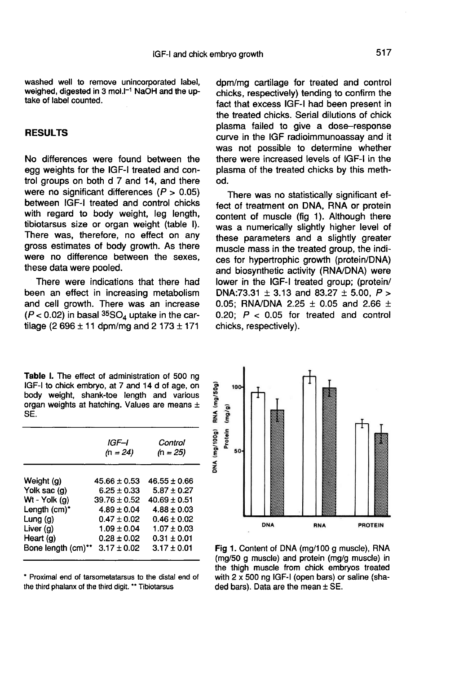washed well to remove unincorporated label, washed well to remove unincorporated label,<br>weighed, digested in 3 mol.I<sup>-1</sup> NaOH and the up-<br>take of label counted take of label counted.

## RESULTS

No differences were found between the egg weights for the IGF-I treated and control groups on both d 7 and 14, and there were no significant differences  $(P > 0.05)$ between IGF-I treated and control chicks with regard to body weight, leg length, tibiotarsus size or organ weight (table I). There was, therefore, no effect on any gross estimates of body growth. As there were no difference between the sexes, these data were pooled.

There were indications that there had been an effect in increasing metabolism and cell growth. There was an increase  $(P < 0.02)$  in basal  ${}^{35}SO_4$  uptake in the cartilage (2 696  $\pm$  11 dpm/mg and 2 173  $\pm$  171

Table I. The effect of administration of 500 ng IGF-I to chick embryo, at 7 and 14 d of age, on body weight, shank-toe length and various organ weights at hatching. Values are means ± SĚ.

|                    | IGF–I<br>$(n = 24)$ | Control<br>$(n = 25)$ |
|--------------------|---------------------|-----------------------|
| Weight (g)         | $45.66 \pm 0.53$    | $46.55 + 0.66$        |
| Yolk sac (g)       | $6.25 \pm 0.33$     | $5.87 \pm 0.27$       |
| Wt - Yolk $(q)$    | $39.76 \pm 0.52$    | $40.69 \pm 0.51$      |
| Length (cm)*       | $4.89 \pm 0.04$     | $4.88 + 0.03$         |
| Lung (g)           | $0.47 \pm 0.02$     | $0.46 \pm 0.02$       |
| Liver $(q)$        | $1.09 \pm 0.04$     | $1.07 \pm 0.03$       |
| Heart (g)          | $0.28 \pm 0.02$     | $0.31 \pm 0.01$       |
| Bone length (cm)** | $3.17 \pm 0.02$     | $3.17 \pm 0.01$       |

\* Proximal end of tarsometatarsus to the distal end of the third phalanx of the third digit. \*\* Tibiotarsus

dpm/mg cartilage for treated and control chicks, respectively) tending to confirm the fact that excess IGF-I had been present in the treated chicks. Serial dilutions of chick plasma failed to give a dose-response curve in the IGF radioimmunoassay and it was not possible to determine whether there were increased levels of IGF-I in the plasma of the treated chicks by this method.

There was no statistically significant effect of treatment on DNA, RNA or protein content of muscle (fig 1). Although there was a numerically slightly higher level of these parameters and a slightly greater muscle mass in the treated group, the indices for hypertrophic growth (protein/DNA) and biosynthetic activity (RNA/DNA) were lower in the IGF-I treated group; (protein/ DNA:73.31  $\pm$  3.13 and 83.27  $\pm$  5.00, P > 0.05; RNA/DNA 2.25  $\pm$  0.05 and 2.66  $\pm$ 0.20;  $P < 0.05$  for treated and control chicks, respectively).



Fig 1. Content of DNA (mg/100 g muscle), RNA (mg/50 g muscle) and protein (mg/g muscle) in the thigh muscle from chick embryos treated with 2 x 500 ng IGF-I (open bars) or saline (shaded bars). Data are the mean  $\pm$  SE.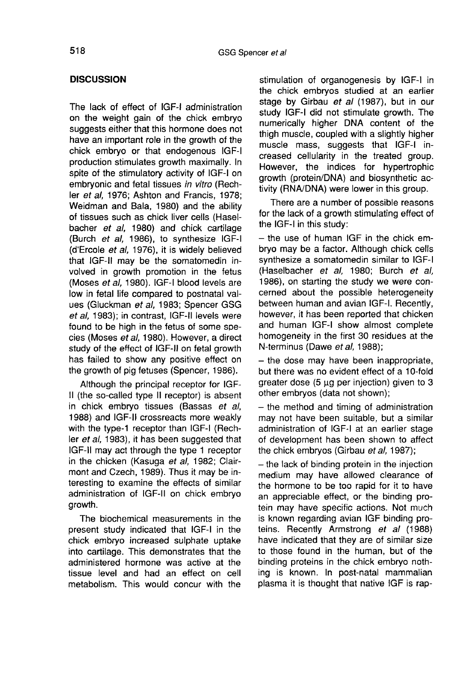### **DISCUSSION**

The lack of effect of IGF-I administration on the weight gain of the chick embryo suggests either that this hormone does not have an important role in the growth of the chick embryo or that endogenous IGF-I production stimulates growth maximally. In spite of the stimulatory activity of IGF-I on embryonic and fetal tissues in vitro (Rechler et al, 1976; Ashton and Francis, 1978; Weidman and Bala, 1980) and the ability of tissues such as chick liver cells (Haselbacher et al, 1980) and chick cartilage (Burch et al, 1986), to synthesize IGF-I (d'Ercole et al, 1976), it is widely believed that IGF-11 may be the somatomedin involved in growth promotion in the fetus (Moses et al, 1980). IGF-I blood levels are low in fetal life compared to postnatal values (Gluckman et al, 1983; Spencer GSG et al, 1983); in contrast, IGF-11 levels were found to be high in the fetus of some species (Moses et al, 1980). However, a direct study of the effect of IGF-11 on fetal growth has failed to show any positive effect on the growth of pig fetuses (Spencer, 1986).

Although the principal receptor for IGF-II (the so-called type II receptor) is absent in chick embryo tissues (Bassas et al, 1988) and IGF-11 crossreacts more weakly with the type-1 receptor than IGF-I (Rechler et al, 1983), it has been suggested that IGF-11 may act through the type 1 receptor in the chicken (Kasuga et al, 1982; Clairmont and Czech, 1989). Thus it may be interesting to examine the effects of similar administration of IGF-II on chick embryo growth.

The biochemical measurements in the present study indicated that IGF-I in the chick embryo increased sulphate uptake into cartilage. This demonstrates that the administered hormone was active at the tissue level and had an effect on cell metabolism. This would concur with the

stimulation of organogenesis by IGF-I in the chick embryos studied at an earlier stage by Girbau et al (1987), but in our study IGF-I did not stimulate growth. The numerically higher DNA content of the thigh muscle, coupled with a slightly higher muscle mass, suggests that IGF-I increased cellularity in the treated group. However, the indices for hypertrophic growth (protein/DNA) and biosynthetic activity (RNA/DNA) were lower in this group.

There are a number of possible reasons for the lack of a growth stimulating effect of the IGF-I in this study:

- the use of human IGF in the chick embryo may be a factor. Although chick cells synthesize a somatomedin similar to IGF-I (Haselbacher et al, 1980; Burch et al, 1986), on starting the study we were concerned about the possible heterogeneity between human and avian IGF-I. Recently, however, it has been reported that chicken and human IGF-I show almost complete homogeneity in the first 30 residues at the N-terminus (Dawe et al, 1988);

- the dose may have been inappropriate, but there was no evident effect of a 10-fold greater dose  $(5 \mu g$  per injection) given to  $3$ other embryos (data not shown);

- the method and timing of administration may not have been suitable, but a similar administration of IGF-I at an earlier stage of development has been shown to affect the chick embryos (Girbau et al, 1987);

- the lack of binding protein in the injection medium may have allowed clearance of the hormone to be too rapid for it to have an appreciable effect, or the binding protein may have specific actions. Not much is known regarding avian IGF binding proteins. Recently Armstrong et al (1988) have indicated that they are of similar size to those found in the human, but of the binding proteins in the chick embryo nothing is known. In post-natal mammalian plasma it is thought that native IGF is rap-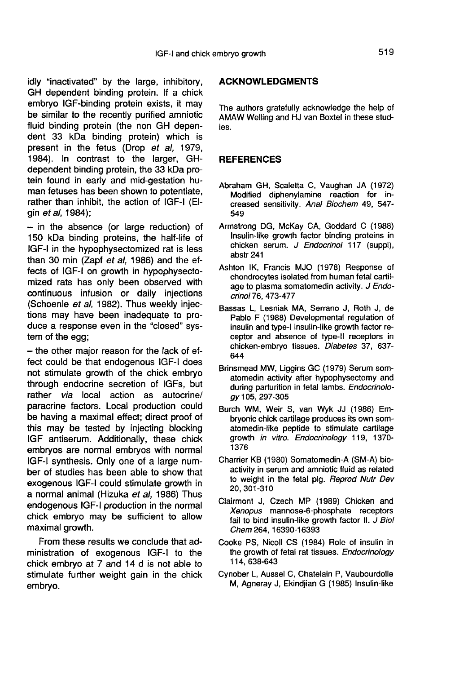idly "inactivated" by the large, inhibitory, GH dependent binding protein. If a chick embryo IGF-binding protein exists, it may be similar to the recently purified amniotic fluid binding protein (the non GH dependent 33 kDa binding protein) which is present in the fetus (Drop et al, 1979, 1984). In contrast to the larger, GHdependent binding protein, the 33 kDa protein found in early and mid-gestation human fetuses has been shown to potentiate, rather than inhibit, the action of IGF-I (Elgin et al, 1984);

 $-$  in the absence (or large reduction) of 150 kDa binding proteins, the half-life of IGF-I in the hypophysectomized rat is less than 30 min (Zapf et al, 1986) and the effects of IGF-I on growth in hypophysectomized rats has only been observed with continuous infusion or daily injections (Schoenle et al, 1982). Thus weekly injections may have been inadequate to produce a response even in the "closed" system of the egg;

- the other major reason for the lack of effect could be that endogenous IGF-I does not stimulate growth of the chick embryo through endocrine secretion of IGFs, but rather via local action as autocrine/ paracrine factors. Local production could be having a maximal effect; direct proof of this may be tested by injecting blocking IGF antiserum. Additionally, these chick embryos are normal embryos with normal IGF-I synthesis. Only one of a large number of studies has been able to show that exogenous IGF-I could stimulate growth in a normal animal (Hizuka et al, 1986) Thus endogenous IGF-I production in the normal chick embryo may be sufficient to allow maximal growth.

From these results we conclude that administration of exogenous IGF-I to the chick embryo at 7 and 14 d is not able to stimulate further weight gain in the chick embryo.

#### ACKNOWLEDGMENTS

The authors gratefully acknowledge the help of AMAW Welling and HJ van Boxtel in these studies.

#### **REFERENCES**

- Abraham GH, Scaletta C, Vaughan JA (1972) Modified diphenylamine reaction for increased sensitivity. Anal Biochem 49, 547- 549
- Armstrong DG, McKay CA, Goddard C (1988) Insulin-like growth factor binding proteins in chicken serum. J Endocrinol 117 (suppl), abstr 241
- Ashton IK, Francis MJO (1978) Response of chondrocytes isolated from human fetal cartilage to plasma somatomedin activity. J Endocrinol 76, 473-477
- Bassas L, Lesniak MA, Serrano J, Roth J, de Pablo F (1988) Developmental regulation of insulin and type-I insulin-like growth factor receptor and absence of type-it receptors in chicken-embryo tissues. Diabetes 37, 637- 644
- Brinsmead MW, Liggins GC (1979) Serum somatomedin activity after hypophysectomy and during parturition in fetal lambs. Endocrinology 105, 297-305
- Burch WM, Weir S, van Wyk JJ (1986) Embryonic chick cartilage produces its own somatomedin-like peptide to stimulate cartilage growth in vitro. Endocrinology 119, 1370- 1376
- Charrier KB (1980) Somatomedin-A (SM-A) bioactivity in serum and amniotic fluid as related to weight in the fetal pig. Reprod Nutr Dev 20, 301-310
- Clairmont J, Czech MP (1989) Chicken and Xenopus mannose-6-phosphate receptors fail to bind insulin-like growth factor II. J Bio! Chem 264, 16390-16393
- Cooke PS, Nicoll CS (1984) Role of insulin in the growth of fetal rat tissues. Endocrinology 114, 638-643
- Cynober L, Aussel C, Chatelain P, Vaubourdolle M, Agneray J, Ekindjian G (1985) Insulin-like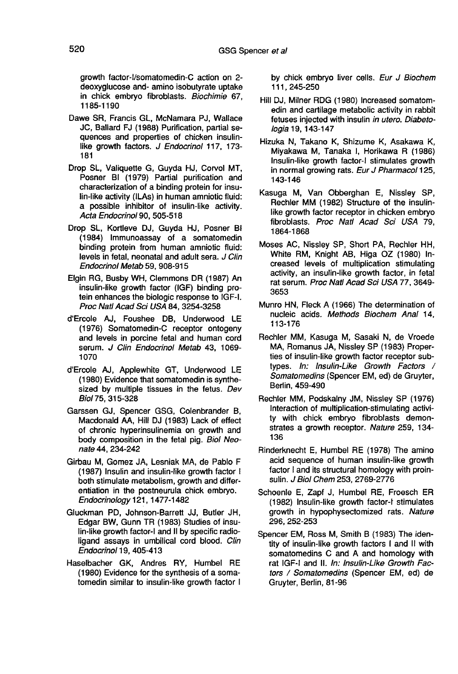growth factor-I/somatomedin-C action on 2 deoxyglucose and- amino isobutyrate uptake in chick embryo fibroblasts. Biochimie 67, 1185-1190

- Dawe SR, Francis GL, McNamara PJ, Wallace JC, Ballard FJ (1988) Purification, partial sequences and properties of chicken insulinlike growth factors. J Endocrinol 117, 173-181
- Drop SL, Valiquette G, Guyda HJ, Corvol MT, Posner BI (1979) Partial purification and characterization of a binding protein for insu-Posner BI (1979) Partial purification and<br>characterization of a binding protein for insu-<br>lin-like activity (ILAs) in human amniotic fluid:<br>a possible inhibitor of insulin-like activity a possible inhibitor of insulin-like activity. Acta Endocrinol 90, 505-518
- Drop SL, Kortleve DJ, Guyda HJ, Posner Bi (1984) Immunoassay of a somatomedin binding protein from human amniotic fluid: levels in fetal, neonatal and adult sera. J Clin Endocrinol Metab 59, 908-915
- Elgin RG, Busby WH, Clemmons DR (1987) An insulin-like growth factor (IGF) binding protein enhances the biologic response to IGF-I. Proc Natl Acad Sci USA 84, 3254-3258
- d'Ercole AJ, Foushee DB, Underwood LE (1976) Somatomedin-C receptor ontogeny and levels in porcine fetal and human cord serum. J Clin Endocrinol Metab 43, 1069-1070
- d'Ercole AJ, Applewhite GT, Underwood LE (1980) Evidence that somatomedin is synthesized by multiple tissues in the fetus. Dev Biol75, 315-328
- Garssen GJ, Spencer GSG, Colenbrander B, Macdonald AA, Hill DJ (1983) Lack of effect of chronic hyperinsulinemia on growth and body composition in the fetal pig. Biol Neonate 44, 234-242
- Girbau M, Gomez JA, Lesniak MA, de Pablo F (1987) Insulin and insulin-like growth factor I both stimulate metabolism, growth and differentiation in the postneurula chick embryo. Endocrinology 121, 1477-1482
- Gluckman PD, Johnson-Barrett JJ, Butler JH, Edgar BW, Gunn TR (1983) Studies of insulin-like growth factor-I and II by specific radioligand assays in umbilical cord blood. Clin Endocrinol 19, 405-413
- Haselbacher GK, Andres RY, Humbel RE (1980) Evidence for the synthesis of a somatomedin similar to insulin-like growth factor I

by chick embryo liver cells. Eur J Biochem 111, 245-250

- Hill DJ, Milner RDG (1980) Increased somatomedin and cartilage metabolic activity in rabbit fetuses injected with insulin in utero. Diabetologia 19, 143-147
- Hizuka N, Takano K, Shizume K, Asakawa K, Miyakawa M, Tanaka I, Horikawa R (1986) Insulin-like growth factor-I stimulates growth in normal growing rats. Eur J Pharmacol 125, 143-146
- Kasuga M, Van Obberghan E, Nissley SP, Rechler MM (1982) Structure of the insulinlike growth factor receptor in chicken embryo fibroblasts. Proc Natl Acad Sci USA 79, 1864-1868
- Moses AC, Nissley SP, Short PA, Rechler HH, White RM, Knight AB, Higa OZ (1980) Increased levels of multiplication stimulating activity, an insulin-like growth factor, in fetal rat serum. Proc Natl Acad Sci USA 77, 3649- 3653
- Munro HN, Fleck A (1966) The determination of nucleic acids. Methods Biochem Anal 14, 113-176
- Rechler MM, Kasuga M, Sasaki N, de Vroede MA, Romanus JA, Nissley SP (1983) Properties of insulin-like growth factor receptor subtypes. In: Insulin-Like Growth Factors / Somatomedins (Spencer EM, ed) de Gruyter, Berlin, 459-490
- Rechler MM, Podskainy JM, Nissley SP (1976) Interaction of multiplication-stimulating activity with chick embryo fibroblasts demonstrates a growth receptor. Nature 259, 134- 136
- Rinderknecht E, Humbel RE (1978) The amino acid sequence of human insulin-like growth factor I and its structural homology with proinsulin. J Biol Chem 253, 2769-2776
- Schoenle E, Zapf J, Humbel RE, Froesch ER (1982) Insulin-like growth factor-t stimulates growth in hypophysectomized rats. Nature 296, 252-253
- Spencer EM, Ross M, Smith B (1983) The identity of insulin-like growth factors I and II with somatomedins C and A and homology with rat IGF-I and II. In: Insulin-Like Growth Factors / Somatomedins (Spencer EM, ed) de Gruyter, Berlin, 81-96